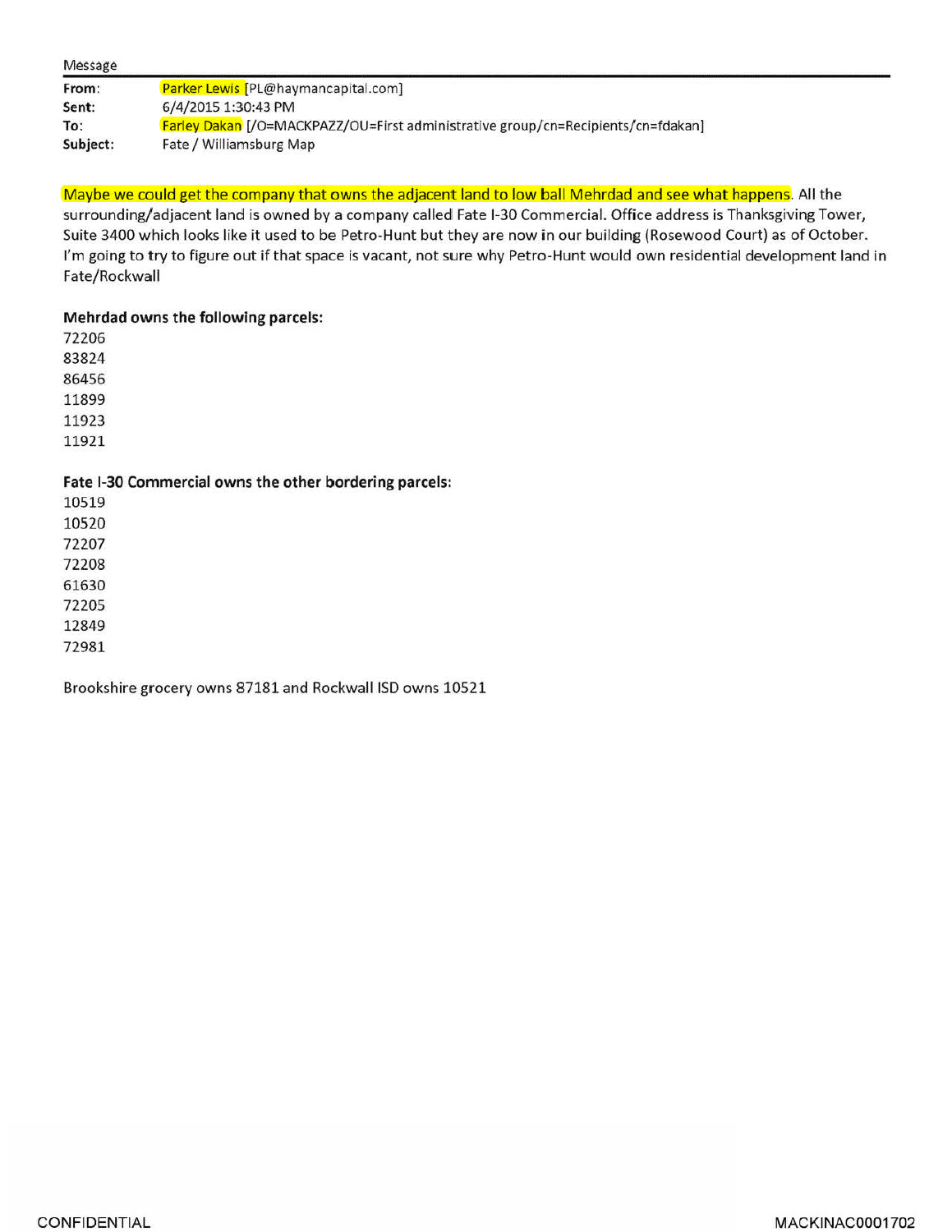| Message  |                                                                                  |
|----------|----------------------------------------------------------------------------------|
| From:    | <b>Parker Lewis</b> [PL@haymancapital.com]                                       |
| Sent:    | 6/4/2015 1:30:43 PM                                                              |
| To:      | Farley Dakan [/O=MACKPAZZ/OU=First administrative group/cn=Recipients/cn=fdakan] |
| Subject: | Fate / Williamsburg Map                                                          |

Maybe we could get the company that owns the adjacent land to low ball Mehrdad and see what happens. All the surrounding/adjacent land is owned by a company called Fate 1-30 Commercial. Office address is Thanksgiving Tower, Suite 3400 which looks like it used to be Petro-Hunt but they are now in our building (Rosewood Court) as of October. I'm going to try to figure out if that space is vacant, not sure why Petro-Hunt would own residential development land in Fate/Rockwall

## **Mehrdad owns the following parcels:**

## **Fate 1-30 Commercial owns the other bordering parcels:**

Brookshire grocery owns 87181 and Rockwall ISO owns 10521